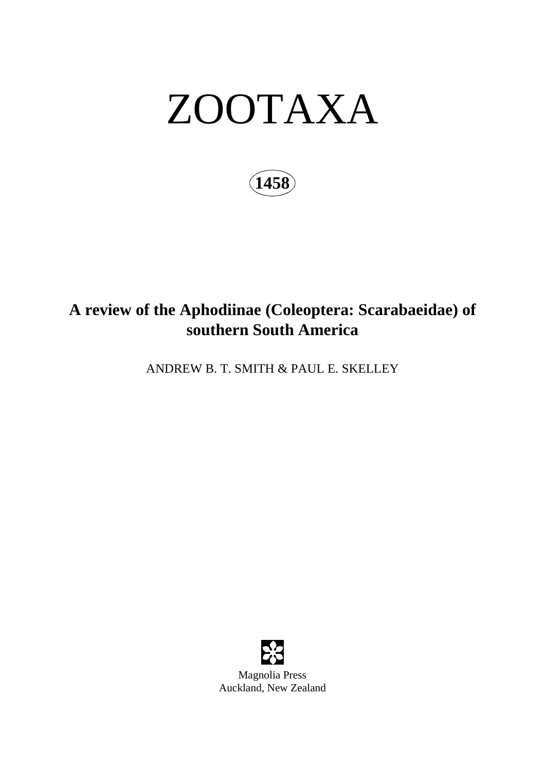# ZOOTAXA

**1458**

## **A review of the Aphodiinae (Coleoptera: Scarabaeidae) of southern South America**

ANDREW B. T. SMITH & PAUL E. SKELLEY

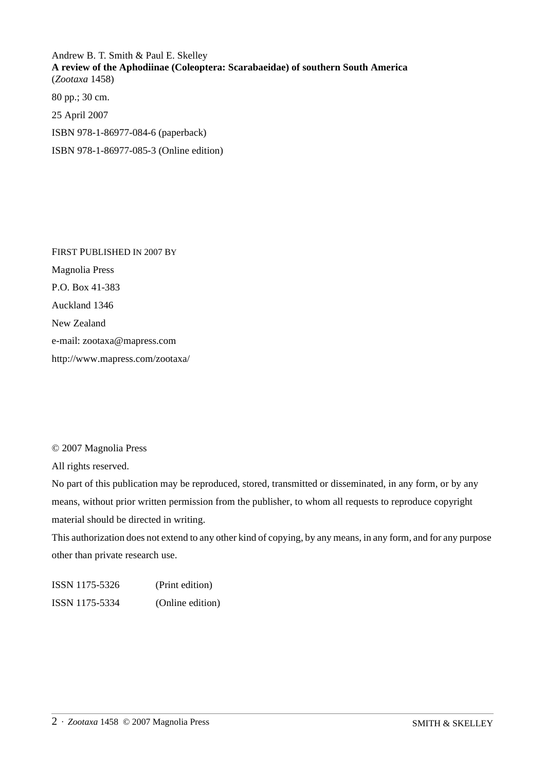Andrew B. T. Smith & Paul E. Skelley **A review of the Aphodiinae (Coleoptera: Scarabaeidae) of southern South America** (*Zootaxa* 1458) 80 pp.; 30 cm.

25 April 2007 ISBN 978-1-86977-084-6 (paperback)

ISBN 978-1-86977-085-3 (Online edition)

FIRST PUBLISHED IN 2007 BY Magnolia Press P.O. Box 41-383 Auckland 1346 New Zealand e-mail: zootaxa@mapress.com http://www.mapress.com/zootaxa/

© 2007 Magnolia Press

All rights reserved.

No part of this publication may be reproduced, stored, transmitted or disseminated, in any form, or by any means, without prior written permission from the publisher, to whom all requests to reproduce copyright material should be directed in writing.

This authorization does not extend to any other kind of copying, by any means, in any form, and for any purpose other than private research use.

ISSN 1175-5326 (Print edition) ISSN 1175-5334 (Online edition)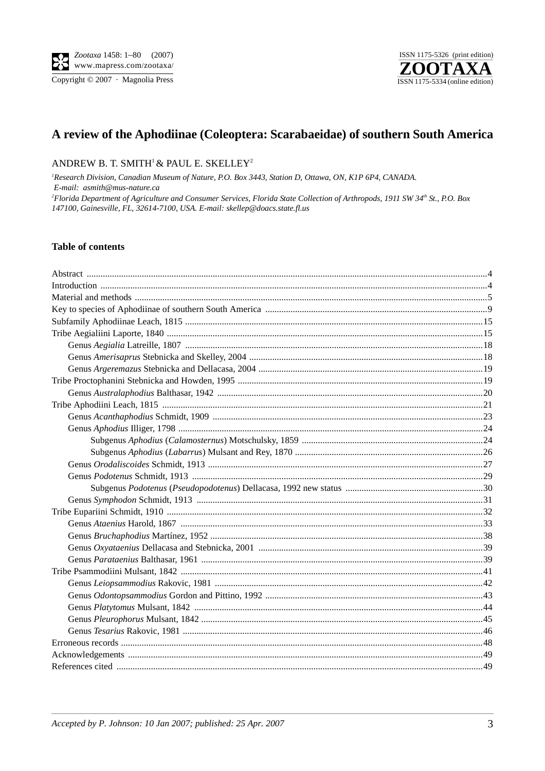Copyright © 2007 · Magnolia Press



### A review of the Aphodiinae (Coleoptera: Scarabaeidae) of southern South America

#### ANDREW B. T. SMITH<sup>1</sup> & PAUL E. SKELLEY<sup>2</sup>

<sup>1</sup>Research Division, Canadian Museum of Nature, P.O. Box 3443, Station D, Ottawa, ON, K1P 6P4, CANADA. E-mail: asmith@mus-nature.ca <sup>2</sup>Florida Department of Agriculture and Consumer Services, Florida State Collection of Arthropods, 1911 SW 34<sup>th</sup> St., P.O. Box 147100, Gainesville, FL, 32614-7100, USA. E-mail: skellep@doacs.state.fl.us

#### **Table of contents**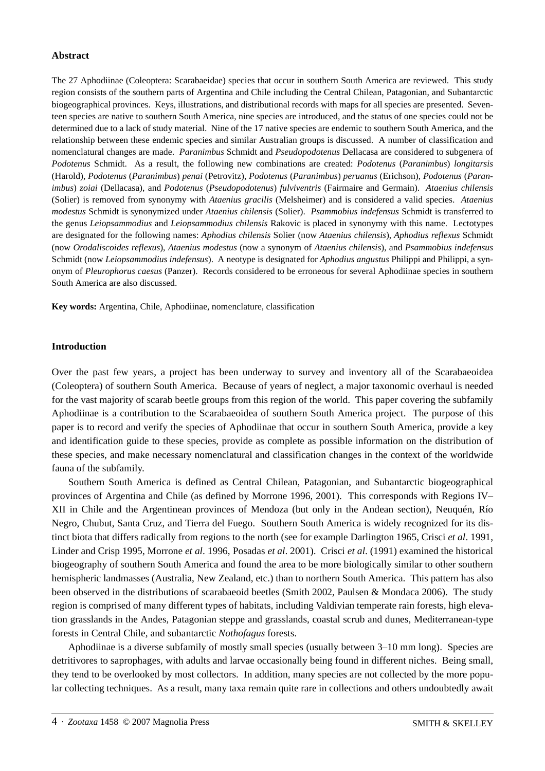#### **Abstract**

The 27 Aphodiinae (Coleoptera: Scarabaeidae) species that occur in southern South America are reviewed. This study region consists of the southern parts of Argentina and Chile including the Central Chilean, Patagonian, and Subantarctic biogeographical provinces. Keys, illustrations, and distributional records with maps for all species are presented. Seventeen species are native to southern South America, nine species are introduced, and the status of one species could not be determined due to a lack of study material. Nine of the 17 native species are endemic to southern South America, and the relationship between these endemic species and similar Australian groups is discussed. A number of classification and nomenclatural changes are made. *Paranimbus* Schmidt and *Pseudopodotenus* Dellacasa are considered to subgenera of *Podotenus* Schmidt. As a result, the following new combinations are created: *Podotenus* (*Paranimbus*) *longitarsis* (Harold), *Podotenus* (*Paranimbus*) *penai* (Petrovitz), *Podotenus* (*Paranimbus*) *peruanus* (Erichson), *Podotenus* (*Paranimbus*) *zoiai* (Dellacasa), and *Podotenus* (*Pseudopodotenus*) *fulviventris* (Fairmaire and Germain). *Ataenius chilensis* (Solier) is removed from synonymy with *Ataenius gracilis* (Melsheimer) and is considered a valid species. *Ataenius modestus* Schmidt is synonymized under *Ataenius chilensis* (Solier). *Psammobius indefensus* Schmidt is transferred to the genus *Leiopsammodius* and *Leiopsammodius chilensis* Rakovic is placed in synonymy with this name. Lectotypes are designated for the following names: *Aphodius chilensis* Solier (now *Ataenius chilensis*), *Aphodius reflexus* Schmidt (now *Orodaliscoides reflexus*), *Ataenius modestus* (now a synonym of *Ataenius chilensis*), and *Psammobius indefensus* Schmidt (now *Leiopsammodius indefensus*). A neotype is designated for *Aphodius angustus* Philippi and Philippi, a synonym of *Pleurophorus caesus* (Panzer). Records considered to be erroneous for several Aphodiinae species in southern South America are also discussed.

**Key words:** Argentina, Chile, Aphodiinae, nomenclature, classification

#### **Introduction**

Over the past few years, a project has been underway to survey and inventory all of the Scarabaeoidea (Coleoptera) of southern South America. Because of years of neglect, a major taxonomic overhaul is needed for the vast majority of scarab beetle groups from this region of the world. This paper covering the subfamily Aphodiinae is a contribution to the Scarabaeoidea of southern South America project. The purpose of this paper is to record and verify the species of Aphodiinae that occur in southern South America, provide a key and identification guide to these species, provide as complete as possible information on the distribution of these species, and make necessary nomenclatural and classification changes in the context of the worldwide fauna of the subfamily.

Southern South America is defined as Central Chilean, Patagonian, and Subantarctic biogeographical provinces of Argentina and Chile (as defined by Morrone 1996, 2001). This corresponds with Regions IV– XII in Chile and the Argentinean provinces of Mendoza (but only in the Andean section), Neuquén, Río Negro, Chubut, Santa Cruz, and Tierra del Fuego. Southern South America is widely recognized for its distinct biota that differs radically from regions to the north (see for example Darlington 1965, Crisci *et al*. 1991, Linder and Crisp 1995, Morrone *et al*. 1996, Posadas *et al*. 2001). Crisci *et al*. (1991) examined the historical biogeography of southern South America and found the area to be more biologically similar to other southern hemispheric landmasses (Australia, New Zealand, etc.) than to northern South America. This pattern has also been observed in the distributions of scarabaeoid beetles (Smith 2002, Paulsen & Mondaca 2006). The study region is comprised of many different types of habitats, including Valdivian temperate rain forests, high elevation grasslands in the Andes, Patagonian steppe and grasslands, coastal scrub and dunes, Mediterranean-type forests in Central Chile, and subantarctic *Nothofagus* forests.

Aphodiinae is a diverse subfamily of mostly small species (usually between 3–10 mm long). Species are detritivores to saprophages, with adults and larvae occasionally being found in different niches. Being small, they tend to be overlooked by most collectors. In addition, many species are not collected by the more popular collecting techniques. As a result, many taxa remain quite rare in collections and others undoubtedly await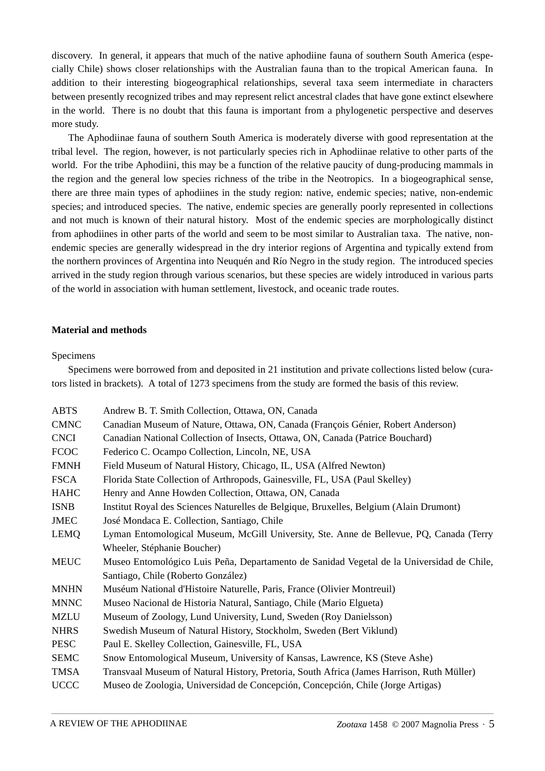discovery. In general, it appears that much of the native aphodiine fauna of southern South America (especially Chile) shows closer relationships with the Australian fauna than to the tropical American fauna. In addition to their interesting biogeographical relationships, several taxa seem intermediate in characters between presently recognized tribes and may represent relict ancestral clades that have gone extinct elsewhere in the world. There is no doubt that this fauna is important from a phylogenetic perspective and deserves more study.

The Aphodiinae fauna of southern South America is moderately diverse with good representation at the tribal level. The region, however, is not particularly species rich in Aphodiinae relative to other parts of the world. For the tribe Aphodiini, this may be a function of the relative paucity of dung-producing mammals in the region and the general low species richness of the tribe in the Neotropics. In a biogeographical sense, there are three main types of aphodiines in the study region: native, endemic species; native, non-endemic species; and introduced species. The native, endemic species are generally poorly represented in collections and not much is known of their natural history. Most of the endemic species are morphologically distinct from aphodiines in other parts of the world and seem to be most similar to Australian taxa. The native, nonendemic species are generally widespread in the dry interior regions of Argentina and typically extend from the northern provinces of Argentina into Neuquén and Río Negro in the study region. The introduced species arrived in the study region through various scenarios, but these species are widely introduced in various parts of the world in association with human settlement, livestock, and oceanic trade routes.

#### **Material and methods**

#### Specimens

Specimens were borrowed from and deposited in 21 institution and private collections listed below (curators listed in brackets). A total of 1273 specimens from the study are formed the basis of this review.

| <b>ABTS</b> | Andrew B. T. Smith Collection, Ottawa, ON, Canada                                         |
|-------------|-------------------------------------------------------------------------------------------|
| <b>CMNC</b> | Canadian Museum of Nature, Ottawa, ON, Canada (François Génier, Robert Anderson)          |
| <b>CNCI</b> | Canadian National Collection of Insects, Ottawa, ON, Canada (Patrice Bouchard)            |
| <b>FCOC</b> | Federico C. Ocampo Collection, Lincoln, NE, USA                                           |
| <b>FMNH</b> | Field Museum of Natural History, Chicago, IL, USA (Alfred Newton)                         |
| <b>FSCA</b> | Florida State Collection of Arthropods, Gainesville, FL, USA (Paul Skelley)               |
| <b>HAHC</b> | Henry and Anne Howden Collection, Ottawa, ON, Canada                                      |
| <b>ISNB</b> | Institut Royal des Sciences Naturelles de Belgique, Bruxelles, Belgium (Alain Drumont)    |
| <b>JMEC</b> | José Mondaca E. Collection, Santiago, Chile                                               |
| <b>LEMQ</b> | Lyman Entomological Museum, McGill University, Ste. Anne de Bellevue, PQ, Canada (Terry   |
|             | Wheeler, Stéphanie Boucher)                                                               |
| <b>MEUC</b> | Museo Entomológico Luis Peña, Departamento de Sanidad Vegetal de la Universidad de Chile, |
|             | Santiago, Chile (Roberto González)                                                        |
| <b>MNHN</b> | Muséum National d'Histoire Naturelle, Paris, France (Olivier Montreuil)                   |
| <b>MNNC</b> | Museo Nacional de Historia Natural, Santiago, Chile (Mario Elgueta)                       |
| <b>MZLU</b> | Museum of Zoology, Lund University, Lund, Sweden (Roy Danielsson)                         |
| <b>NHRS</b> | Swedish Museum of Natural History, Stockholm, Sweden (Bert Viklund)                       |
| <b>PESC</b> | Paul E. Skelley Collection, Gainesville, FL, USA                                          |
| <b>SEMC</b> | Snow Entomological Museum, University of Kansas, Lawrence, KS (Steve Ashe)                |
| <b>TMSA</b> | Transvaal Museum of Natural History, Pretoria, South Africa (James Harrison, Ruth Müller) |
| <b>UCCC</b> | Museo de Zoologia, Universidad de Concepción, Concepción, Chile (Jorge Artigas)           |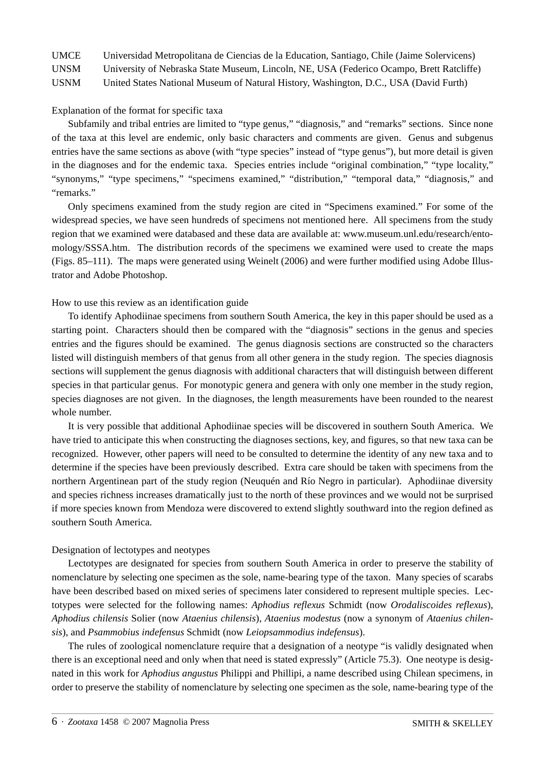UMCE Universidad Metropolitana de Ciencias de la Education, Santiago, Chile (Jaime Solervicens)

UNSM University of Nebraska State Museum, Lincoln, NE, USA (Federico Ocampo, Brett Ratcliffe)

USNM United States National Museum of Natural History, Washington, D.C., USA (David Furth)

Explanation of the format for specific taxa

Subfamily and tribal entries are limited to "type genus," "diagnosis," and "remarks" sections. Since none of the taxa at this level are endemic, only basic characters and comments are given. Genus and subgenus entries have the same sections as above (with "type species" instead of "type genus"), but more detail is given in the diagnoses and for the endemic taxa. Species entries include "original combination," "type locality," "synonyms," "type specimens," "specimens examined," "distribution," "temporal data," "diagnosis," and "remarks."

Only specimens examined from the study region are cited in "Specimens examined." For some of the widespread species, we have seen hundreds of specimens not mentioned here. All specimens from the study region that we examined were databased and these data are available at: www.museum.unl.edu/research/entomology/SSSA.htm. The distribution records of the specimens we examined were used to create the maps (Figs. 85–111). The maps were generated using Weinelt (2006) and were further modified using Adobe Illustrator and Adobe Photoshop.

#### How to use this review as an identification guide

To identify Aphodiinae specimens from southern South America, the key in this paper should be used as a starting point. Characters should then be compared with the "diagnosis" sections in the genus and species entries and the figures should be examined. The genus diagnosis sections are constructed so the characters listed will distinguish members of that genus from all other genera in the study region. The species diagnosis sections will supplement the genus diagnosis with additional characters that will distinguish between different species in that particular genus. For monotypic genera and genera with only one member in the study region, species diagnoses are not given. In the diagnoses, the length measurements have been rounded to the nearest whole number.

It is very possible that additional Aphodiinae species will be discovered in southern South America. We have tried to anticipate this when constructing the diagnoses sections, key, and figures, so that new taxa can be recognized. However, other papers will need to be consulted to determine the identity of any new taxa and to determine if the species have been previously described. Extra care should be taken with specimens from the northern Argentinean part of the study region (Neuquén and Río Negro in particular). Aphodiinae diversity and species richness increases dramatically just to the north of these provinces and we would not be surprised if more species known from Mendoza were discovered to extend slightly southward into the region defined as southern South America.

#### Designation of lectotypes and neotypes

Lectotypes are designated for species from southern South America in order to preserve the stability of nomenclature by selecting one specimen as the sole, name-bearing type of the taxon. Many species of scarabs have been described based on mixed series of specimens later considered to represent multiple species. Lectotypes were selected for the following names: *Aphodius reflexus* Schmidt (now *Orodaliscoides reflexus*), *Aphodius chilensis* Solier (now *Ataenius chilensis*), *Ataenius modestus* (now a synonym of *Ataenius chilensis*), and *Psammobius indefensus* Schmidt (now *Leiopsammodius indefensus*).

The rules of zoological nomenclature require that a designation of a neotype "is validly designated when there is an exceptional need and only when that need is stated expressly" (Article 75.3). One neotype is designated in this work for *Aphodius angustus* Philippi and Phillipi, a name described using Chilean specimens, in order to preserve the stability of nomenclature by selecting one specimen as the sole, name-bearing type of the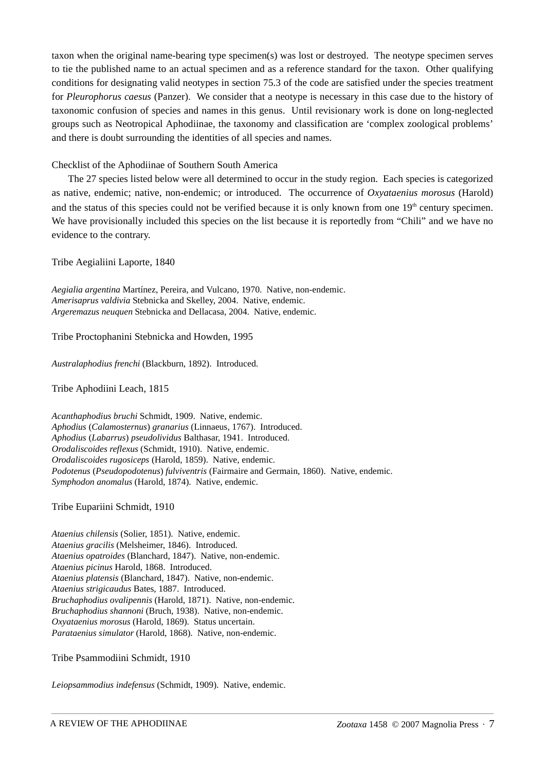taxon when the original name-bearing type specimen(s) was lost or destroyed. The neotype specimen serves to tie the published name to an actual specimen and as a reference standard for the taxon. Other qualifying conditions for designating valid neotypes in section 75.3 of the code are satisfied under the species treatment for *Pleurophorus caesus* (Panzer). We consider that a neotype is necessary in this case due to the history of taxonomic confusion of species and names in this genus. Until revisionary work is done on long-neglected groups such as Neotropical Aphodiinae, the taxonomy and classification are 'complex zoological problems' and there is doubt surrounding the identities of all species and names.

Checklist of the Aphodiinae of Southern South America

The 27 species listed below were all determined to occur in the study region. Each species is categorized as native, endemic; native, non-endemic; or introduced. The occurrence of *Oxyataenius morosus* (Harold) and the status of this species could not be verified because it is only known from one 19<sup>th</sup> century specimen. We have provisionally included this species on the list because it is reportedly from "Chili" and we have no evidence to the contrary.

Tribe Aegialiini Laporte, 1840

*Aegialia argentina* Martínez, Pereira, and Vulcano, 1970. Native, non-endemic. *Amerisaprus valdivia* Stebnicka and Skelley, 2004. Native, endemic. *Argeremazus neuquen* Stebnicka and Dellacasa, 2004. Native, endemic.

Tribe Proctophanini Stebnicka and Howden, 1995

*Australaphodius frenchi* (Blackburn, 1892). Introduced.

Tribe Aphodiini Leach, 1815

*Acanthaphodius bruchi* Schmidt, 1909. Native, endemic. *Aphodius* (*Calamosternus*) *granarius* (Linnaeus, 1767). Introduced. *Aphodius* (*Labarrus*) *pseudolividus* Balthasar, 1941. Introduced. *Orodaliscoides reflexus* (Schmidt, 1910). Native, endemic. *Orodaliscoides rugosiceps* (Harold, 1859). Native, endemic. *Podotenus* (*Pseudopodotenus*) *fulviventris* (Fairmaire and Germain, 1860). Native, endemic. *Symphodon anomalus* (Harold, 1874). Native, endemic.

Tribe Eupariini Schmidt, 1910

*Ataenius chilensis* (Solier, 1851). Native, endemic. *Ataenius gracilis* (Melsheimer, 1846). Introduced. *Ataenius opatroides* (Blanchard, 1847). Native, non-endemic. *Ataenius picinus* Harold, 1868. Introduced. *Ataenius platensis* (Blanchard, 1847). Native, non-endemic. *Ataenius strigicaudus* Bates, 1887. Introduced. *Bruchaphodius ovalipennis* (Harold, 1871). Native, non-endemic. *Bruchaphodius shannoni* (Bruch, 1938). Native, non-endemic. *Oxyataenius morosus* (Harold, 1869). Status uncertain. *Parataenius simulator* (Harold, 1868). Native, non-endemic.

Tribe Psammodiini Schmidt, 1910

*Leiopsammodius indefensus* (Schmidt, 1909). Native, endemic.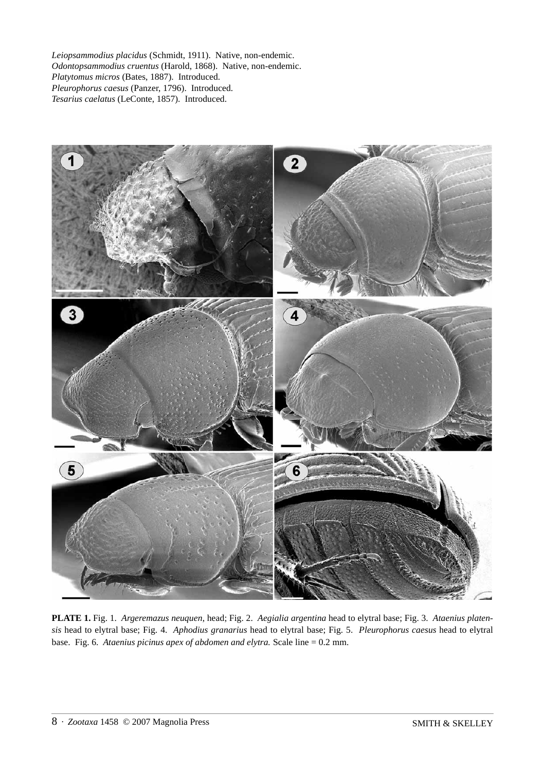*Leiopsammodius placidus* (Schmidt, 1911). Native, non-endemic. *Odontopsammodius cruentus* (Harold, 1868). Native, non-endemic. *Platytomus micros* (Bates, 1887). Introduced. *Pleurophorus caesus* (Panzer, 1796). Introduced. *Tesarius caelatus* (LeConte, 1857). Introduced.



**PLATE 1.** Fig. 1. *Argeremazus neuquen*, head; Fig. 2. *Aegialia argentina* head to elytral base; Fig. 3. *Ataenius platensis* head to elytral base; Fig. 4. *Aphodius granarius* head to elytral base; Fig. 5. *Pleurophorus caesus* head to elytral base. Fig. 6. *Ataenius picinus apex of abdomen and elytra.* Scale line = 0.2 mm.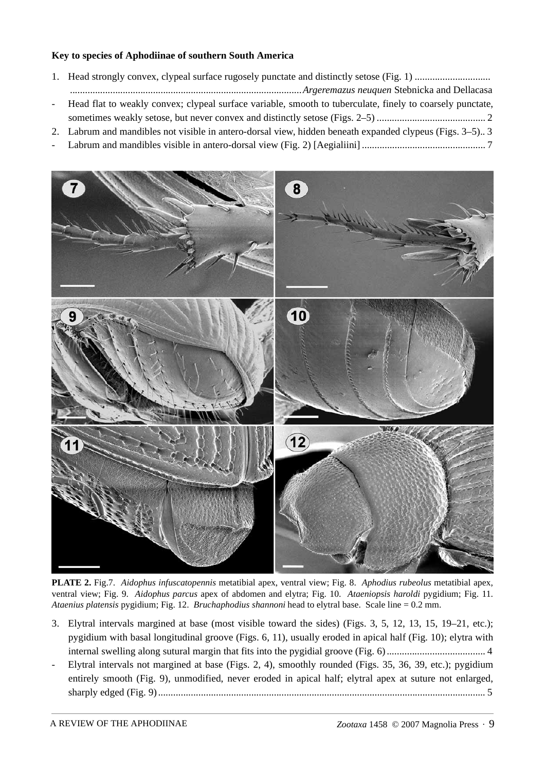#### **Key to species of Aphodiinae of southern South America**

- 1. Head strongly convex, clypeal surface rugosely punctate and distinctly setose (Fig. 1) .............................. *............................................................................................Argeremazus neuquen* Stebnicka and Dellacasa - Head flat to weakly convex; clypeal surface variable, smooth to tuberculate, finely to coarsely punctate, sometimes weakly setose, but never convex and distinctly setose (Figs. 2–5) ........................................... 2
- 2. Labrum and mandibles not visible in antero-dorsal view, hidden beneath expanded clypeus (Figs. 3–5).. 3
- Labrum and mandibles visible in antero-dorsal view (Fig. 2) [Aegialiini] ................................................. 7



**PLATE 2.** Fig.7. *Aidophus infuscatopennis* metatibial apex, ventral view; Fig. 8. *Aphodius rubeolus* metatibial apex, ventral view; Fig. 9. *Aidophus parcus* apex of abdomen and elytra; Fig. 10. *Ataeniopsis haroldi* pygidium; Fig. 11. *Ataenius platensis* pygidium; Fig. 12. *Bruchaphodius shannoni* head to elytral base. Scale line = 0.2 mm.

- 3. Elytral intervals margined at base (most visible toward the sides) (Figs. 3, 5, 12, 13, 15, 19–21, etc.); pygidium with basal longitudinal groove (Figs. 6, 11), usually eroded in apical half (Fig. 10); elytra with internal swelling along sutural margin that fits into the pygidial groove (Fig. 6) ....................................... 4
- Elytral intervals not margined at base (Figs. 2, 4), smoothly rounded (Figs. 35, 36, 39, etc.); pygidium entirely smooth (Fig. 9), unmodified, never eroded in apical half; elytral apex at suture not enlarged, sharply edged (Fig. 9) .................................................................................................................................. 5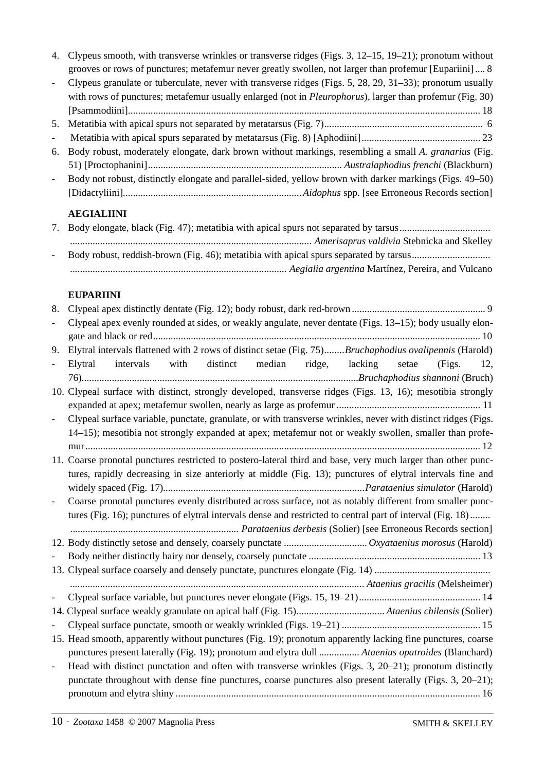- 4. Clypeus smooth, with transverse wrinkles or transverse ridges (Figs. 3, 12–15, 19–21); pronotum without grooves or rows of punctures; metafemur never greatly swollen, not larger than profemur [Eupariini] .... 8
- Clypeus granulate or tuberculate, never with transverse ridges (Figs. 5, 28, 29, 31–33); pronotum usually with rows of punctures; metafemur usually enlarged (not in *Pleurophorus*), larger than profemur (Fig. 30) [Psammodiini]............................................................................................................................................ 18
- 5. Metatibia with apical spurs not separated by metatarsus (Fig. 7)............................................................... 6
- Metatibia with apical spurs separated by metatarsus (Fig. 8) [Aphodiini]............................................... 23
- 6. Body robust, moderately elongate, dark brown without markings, resembling a small *A. granarius* (Fig. 51) [Proctophanini]*............................................................................. Australaphodius frenchi* (Blackburn)
- Body not robust, distinctly elongate and parallel-sided, yellow brown with darker markings (Figs. 49–50) [Didactyliini]*.......................................................................Aidophus* spp. [see Erroneous Records section]

#### **AEGIALIINI**

7. Body elongate, black (Fig. 47); metatibia with apical spurs not separated by tarsus.................................... *................................................................................................ Amerisaprus valdivia* Stebnicka and Skelley - Body robust, reddish-brown (Fig. 46); metatibia with apical spurs separated by tarsus............................... *...................................................................................... Aegialia argentina* Martínez, Pereira, and Vulcano

#### **EUPARIINI**

| 8.                       |                                                                                                               |
|--------------------------|---------------------------------------------------------------------------------------------------------------|
|                          | Clypeal apex evenly rounded at sides, or weakly angulate, never dentate (Figs. 13-15); body usually elon-     |
|                          |                                                                                                               |
| 9.                       | Elytral intervals flattened with 2 rows of distinct setae (Fig. 75)Bruchaphodius ovalipennis (Harold)         |
|                          | distinct median ridge, lacking setae<br>with<br>Elytral intervals<br>(Figs.<br>12,                            |
|                          |                                                                                                               |
|                          | 10. Clypeal surface with distinct, strongly developed, transverse ridges (Figs. 13, 16); mesotibia strongly   |
|                          |                                                                                                               |
| $\overline{\phantom{0}}$ | Clypeal surface variable, punctate, granulate, or with transverse wrinkles, never with distinct ridges (Figs. |
|                          | 14-15); mesotibia not strongly expanded at apex; metafemur not or weakly swollen, smaller than profe-         |
|                          |                                                                                                               |
|                          | 11. Coarse pronotal punctures restricted to postero-lateral third and base, very much larger than other punc- |
|                          | tures, rapidly decreasing in size anteriorly at middle (Fig. 13); punctures of elytral intervals fine and     |
|                          |                                                                                                               |
|                          | Coarse pronotal punctures evenly distributed across surface, not as notably different from smaller punc-      |
|                          | tures (Fig. 16); punctures of elytral intervals dense and restricted to central part of interval (Fig. 18)    |
|                          |                                                                                                               |
|                          |                                                                                                               |
|                          |                                                                                                               |
|                          |                                                                                                               |
|                          |                                                                                                               |
| $\overline{a}$           |                                                                                                               |
|                          |                                                                                                               |
|                          |                                                                                                               |
|                          | 15. Head smooth, apparently without punctures (Fig. 19); pronotum apparently lacking fine punctures, coarse   |
|                          | punctures present laterally (Fig. 19); pronotum and elytra dull  Ataenius opatroides (Blanchard)              |
| $\overline{\phantom{0}}$ | Head with distinct punctation and often with transverse wrinkles (Figs. 3, 20–21); pronotum distinctly        |
|                          | punctate throughout with dense fine punctures, coarse punctures also present laterally (Figs. 3, 20–21);      |
|                          |                                                                                                               |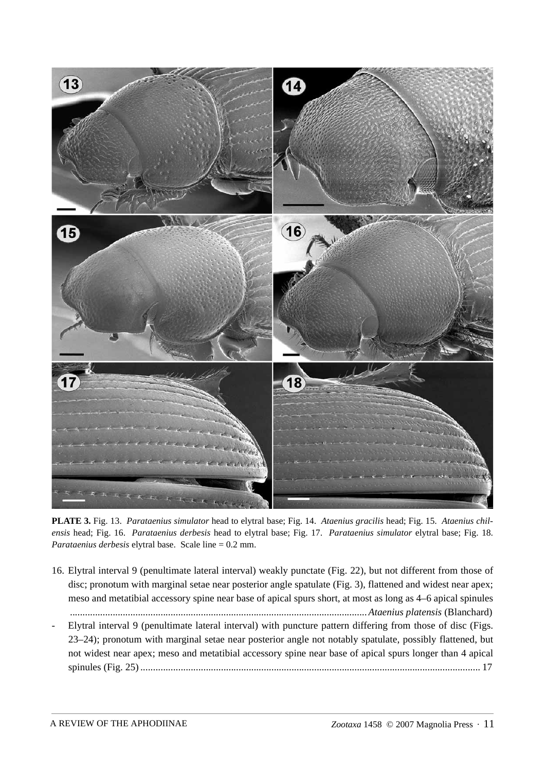

**PLATE 3.** Fig. 13. *Parataenius simulator* head to elytral base; Fig. 14. *Ataenius gracilis* head; Fig. 15. *Ataenius chilensis* head; Fig. 16. *Parataenius derbesis* head to elytral base; Fig. 17. *Parataenius simulator* elytral base; Fig. 18. *Parataenius derbesis* elytral base. Scale line = 0.2 mm.

- 16. Elytral interval 9 (penultimate lateral interval) weakly punctate (Fig. 22), but not different from those of disc; pronotum with marginal setae near posterior angle spatulate (Fig. 3), flattened and widest near apex; meso and metatibial accessory spine near base of apical spurs short, at most as long as 4–6 apical spinules *......................................................................................................................Ataenius platensis* (Blanchard)
- Elytral interval 9 (penultimate lateral interval) with puncture pattern differing from those of disc (Figs. 23–24); pronotum with marginal setae near posterior angle not notably spatulate, possibly flattened, but not widest near apex; meso and metatibial accessory spine near base of apical spurs longer than 4 apical spinules (Fig. 25) ....................................................................................................................................... 17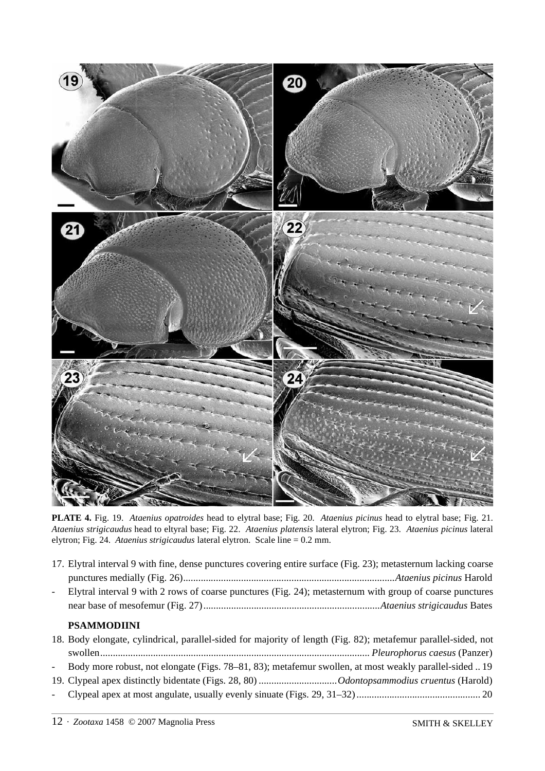

**PLATE 4.** Fig. 19. *Ataenius opatroides* head to elytral base; Fig. 20. *Ataenius picinus* head to elytral base; Fig. 21. *Ataenius strigicaudus* head to eltyral base; Fig. 22. *Ataenius platensis* lateral elytron; Fig. 23. *Ataenius picinus* lateral elytron; Fig. 24. *Ataenius strigicaudus* lateral elytron. Scale line = 0.2 mm.

| 17. Elytral interval 9 with fine, dense punctures covering entire surface (Fig. 23); metasternum lacking coarse |
|-----------------------------------------------------------------------------------------------------------------|
|                                                                                                                 |
| - Elytral interval 9 with 2 rows of coarse punctures (Fig. 24); metasternum with group of coarse punctures      |
|                                                                                                                 |

#### **PSAMMODIINI**

| 18. Body elongate, cylindrical, parallel-sided for majority of length (Fig. 82); metafemur parallel-sided, not |
|----------------------------------------------------------------------------------------------------------------|
|                                                                                                                |
| - Body more robust, not elongate (Figs. 78–81, 83); metafemur swollen, at most weakly parallel-sided  19       |
|                                                                                                                |
|                                                                                                                |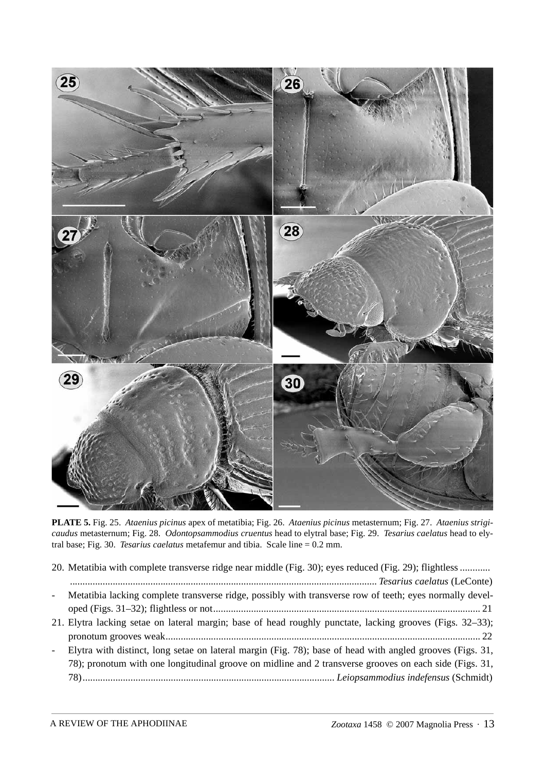

**PLATE 5.** Fig. 25. *Ataenius picinus* apex of metatibia; Fig. 26. *Ataenius picinus* metasternum; Fig. 27. *Ataenius strigicaudus* metasternum; Fig. 28. *Odontopsammodius cruentus* head to elytral base; Fig. 29. *Tesarius caelatus* head to elytral base; Fig. 30. *Tesarius caelatus* metafemur and tibia. Scale line = 0.2 mm.

|                | 20. Metatibia with complete transverse ridge near middle (Fig. 30); eyes reduced (Fig. 29); flightless     |
|----------------|------------------------------------------------------------------------------------------------------------|
|                |                                                                                                            |
|                | - Metatibia lacking complete transverse ridge, possibly with transverse row of teeth; eyes normally devel- |
|                |                                                                                                            |
|                | 21. Elytra lacking setae on lateral margin; base of head roughly punctate, lacking grooves (Figs. 32–33);  |
|                |                                                                                                            |
| $\blacksquare$ | Elytra with distinct, long setae on lateral margin (Fig. 78); base of head with angled grooves (Figs. 31,  |
|                | 78); pronotum with one longitudinal groove on midline and 2 transverse grooves on each side (Figs. 31,     |
|                |                                                                                                            |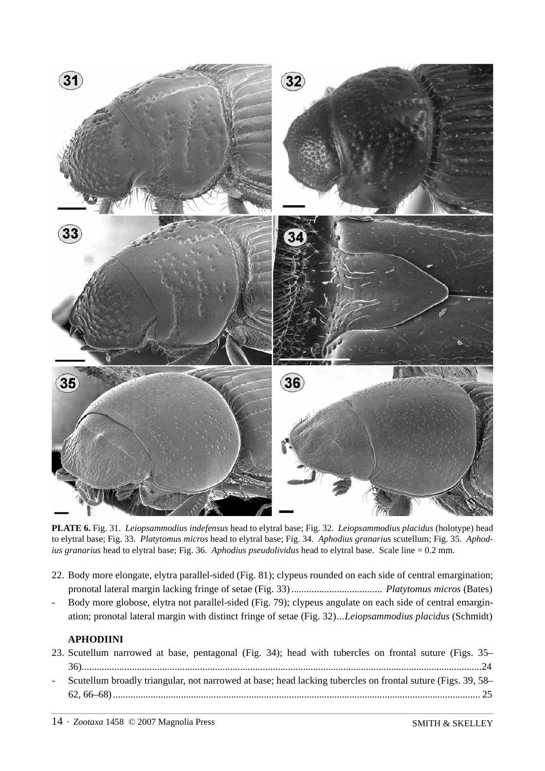

**PLATE 6.** Fig. 31. *Leiopsammodius indefensus* head to elytral base; Fig. 32. *Leiopsammodius placidus* (holotype) head to elytral base; Fig. 33. *Platytomus micros* head to elytral base; Fig. 34. *Aphodius granarius* scutellum; Fig. 35. *Aphodius granarius* head to elytral base; Fig. 36. *Aphodius pseudolividus* head to elytral base. Scale line = 0.2 mm.

- 22. Body more elongate, elytra parallel-sided (Fig. 81); clypeus rounded on each side of central emargination; pronotal lateral margin lacking fringe of setae (Fig. 33) .................................... *Platytomus micros* (Bates)
- Body more globose, elytra not parallel-sided (Fig. 79); clypeus angulate on each side of central emargination; pronotal lateral margin with distinct fringe of setae (Fig. 32)*...Leiopsammodius placidus* (Schmidt)

#### **APHODIINI**

| 23. Scutellum narrowed at base, pentagonal (Fig. 34); head with tubercles on frontal suture (Figs. 35–        |  |
|---------------------------------------------------------------------------------------------------------------|--|
|                                                                                                               |  |
| - Scutellum broadly triangular, not narrowed at base; head lacking tubercles on frontal suture (Figs. 39, 58– |  |
|                                                                                                               |  |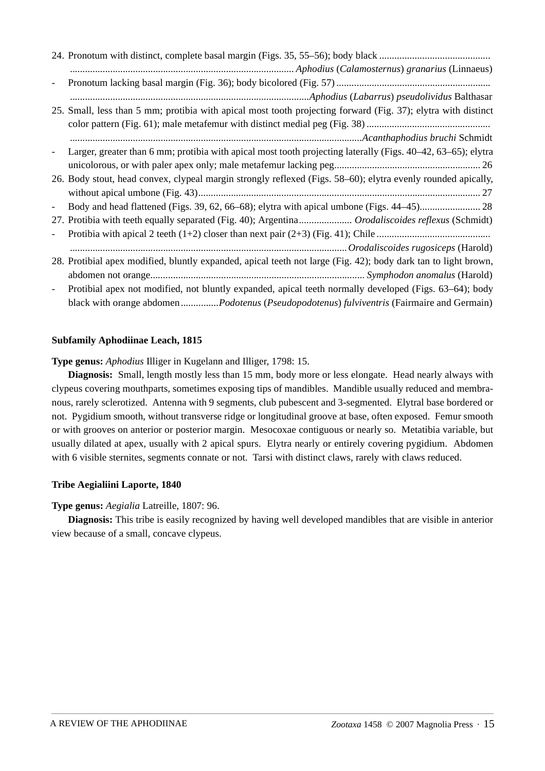| $\qquad \qquad -$        |                                                                                                                |
|--------------------------|----------------------------------------------------------------------------------------------------------------|
|                          |                                                                                                                |
|                          | 25. Small, less than 5 mm; protibia with apical most tooth projecting forward (Fig. 37); elytra with distinct  |
|                          |                                                                                                                |
|                          |                                                                                                                |
|                          | Larger, greater than 6 mm; protibia with apical most tooth projecting laterally (Figs. 40–42, 63–65); elytra   |
|                          |                                                                                                                |
|                          | 26. Body stout, head convex, clypeal margin strongly reflexed (Figs. 58-60); elytra evenly rounded apically,   |
|                          |                                                                                                                |
| $\qquad \qquad -$        |                                                                                                                |
|                          | 27. Protibia with teeth equally separated (Fig. 40); Argentina Orodaliscoides reflexus (Schmidt)               |
| $\overline{\phantom{0}}$ |                                                                                                                |
|                          |                                                                                                                |
|                          | 28. Protibial apex modified, bluntly expanded, apical teeth not large (Fig. 42); body dark tan to light brown, |
|                          |                                                                                                                |
| $\frac{1}{2}$            | Protibial apex not modified, not bluntly expanded, apical teeth normally developed (Figs. 63–64); body         |
|                          | black with orange abdomen <i>Podotenus (Pseudopodotenus) fulviventris (Fairmaire and Germain)</i>              |

#### **Subfamily Aphodiinae Leach, 1815**

**Type genus:** *Aphodius* Illiger in Kugelann and Illiger, 1798: 15.

**Diagnosis:** Small, length mostly less than 15 mm, body more or less elongate. Head nearly always with clypeus covering mouthparts, sometimes exposing tips of mandibles. Mandible usually reduced and membranous, rarely sclerotized. Antenna with 9 segments, club pubescent and 3-segmented. Elytral base bordered or not. Pygidium smooth, without transverse ridge or longitudinal groove at base, often exposed. Femur smooth or with grooves on anterior or posterior margin. Mesocoxae contiguous or nearly so. Metatibia variable, but usually dilated at apex, usually with 2 apical spurs. Elytra nearly or entirely covering pygidium. Abdomen with 6 visible sternites, segments connate or not. Tarsi with distinct claws, rarely with claws reduced.

#### **Tribe Aegialiini Laporte, 1840**

#### **Type genus:** *Aegialia* Latreille, 1807: 96.

**Diagnosis:** This tribe is easily recognized by having well developed mandibles that are visible in anterior view because of a small, concave clypeus.